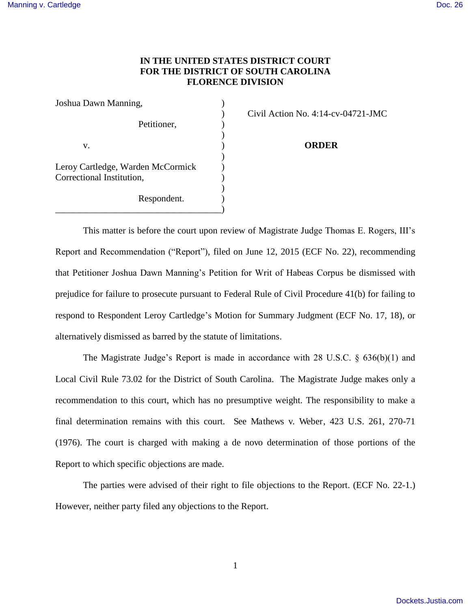## **IN THE UNITED STATES DISTRICT COURT FOR THE DISTRICT OF SOUTH CAROLINA FLORENCE DIVISION**

| Joshua Dawn Manning,                                           |                          |
|----------------------------------------------------------------|--------------------------|
|                                                                | Civil Action No. 4:14-cy |
| Petitioner,                                                    |                          |
| V.                                                             | ORDER                    |
| Leroy Cartledge, Warden McCormick<br>Correctional Institution, |                          |
| Respondent.                                                    |                          |

) Civil Action No. 4:14-cv-04721-JMC

This matter is before the court upon review of Magistrate Judge Thomas E. Rogers, III's Report and Recommendation ("Report"), filed on June 12, 2015 (ECF No. 22), recommending that Petitioner Joshua Dawn Manning's Petition for Writ of Habeas Corpus be dismissed with prejudice for failure to prosecute pursuant to Federal Rule of Civil Procedure 41(b) for failing to respond to Respondent Leroy Cartledge's Motion for Summary Judgment (ECF No. 17, 18), or alternatively dismissed as barred by the statute of limitations.

The Magistrate Judge's Report is made in accordance with 28 U.S.C. § 636(b)(1) and Local Civil Rule 73.02 for the District of South Carolina. The Magistrate Judge makes only a recommendation to this court, which has no presumptive weight. The responsibility to make a final determination remains with this court. See Mathews v. Weber, 423 U.S. 261, 270-71 (1976). The court is charged with making a de novo determination of those portions of the Report to which specific objections are made.

 The parties were advised of their right to file objections to the Report. (ECF No. 22-1.) However, neither party filed any objections to the Report.